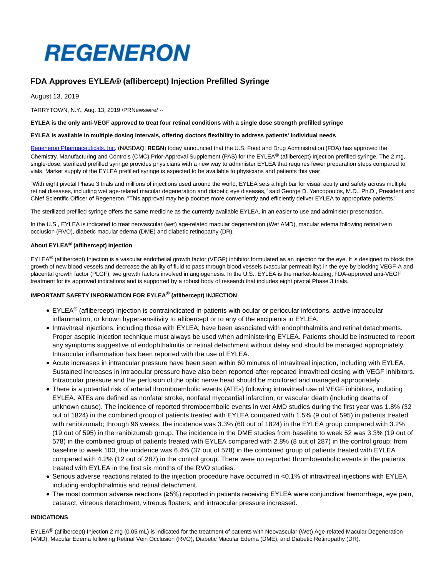# **REGENERON**

## **FDA Approves EYLEA® (aflibercept) Injection Prefilled Syringe**

August 13, 2019

TARRYTOWN, N.Y., Aug. 13, 2019 /PRNewswire/ --

#### **EYLEA is the only anti-VEGF approved to treat four retinal conditions with a single dose strength prefilled syringe**

#### **EYLEA is available in multiple dosing intervals, offering doctors flexibility to address patients' individual needs**

[Regeneron Pharmaceuticals, Inc.](https://c212.net/c/link/?t=0&l=en&o=2550082-1&h=3542576020&u=http%3A%2F%2Fwww.regeneron.com%2F&a=Regeneron+Pharmaceuticals%2C+Inc) (NASDAQ: **REGN**) today announced that the U.S. Food and Drug Administration (FDA) has approved the Chemistry, Manufacturing and Controls (CMC) Prior-Approval Supplement (PAS) for the EYLEA® (aflibercept) Injection prefilled syringe. The 2 mg, single-dose, sterilized prefilled syringe provides physicians with a new way to administer EYLEA that requires fewer preparation steps compared to vials. Market supply of the EYLEA prefilled syringe is expected to be available to physicians and patients this year.

"With eight pivotal Phase 3 trials and millions of injections used around the world, EYLEA sets a high bar for visual acuity and safety across multiple retinal diseases, including wet age-related macular degeneration and diabetic eye diseases," said George D. Yancopoulos, M.D., Ph.D., President and Chief Scientific Officer of Regeneron. "This approval may help doctors more conveniently and efficiently deliver EYLEA to appropriate patients."

The sterilized prefilled syringe offers the same medicine as the currently available EYLEA, in an easier to use and administer presentation.

In the U.S., EYLEA is indicated to treat neovascular (wet) age-related macular degeneration (Wet AMD), macular edema following retinal vein occlusion (RVO), diabetic macular edema (DME) and diabetic retinopathy (DR).

### **About EYLEA® (aflibercept) Injection**

EYLEA<sup>®</sup> (aflibercept) Injection is a vascular endothelial growth factor (VEGF) inhibitor formulated as an injection for the eye. It is designed to block the growth of new blood vessels and decrease the ability of fluid to pass through blood vessels (vascular permeability) in the eye by blocking VEGF-A and placental growth factor (PLGF), two growth factors involved in angiogenesis. In the U.S., EYLEA is the market-leading, FDA-approved anti-VEGF treatment for its approved indications and is supported by a robust body of research that includes eight pivotal Phase 3 trials.

#### **IMPORTANT SAFETY INFORMATION FOR EYLEA® (aflibercept) INJECTION**

- EYLEA<sup>®</sup> (aflibercept) Injection is contraindicated in patients with ocular or periocular infections, active intraocular inflammation, or known hypersensitivity to aflibercept or to any of the excipients in EYLEA.
- Intravitreal injections, including those with EYLEA, have been associated with endophthalmitis and retinal detachments. Proper aseptic injection technique must always be used when administering EYLEA. Patients should be instructed to report any symptoms suggestive of endophthalmitis or retinal detachment without delay and should be managed appropriately. Intraocular inflammation has been reported with the use of EYLEA.
- Acute increases in intraocular pressure have been seen within 60 minutes of intravitreal injection, including with EYLEA. Sustained increases in intraocular pressure have also been reported after repeated intravitreal dosing with VEGF inhibitors. Intraocular pressure and the perfusion of the optic nerve head should be monitored and managed appropriately.
- There is a potential risk of arterial thromboembolic events (ATEs) following intravitreal use of VEGF inhibitors, including EYLEA. ATEs are defined as nonfatal stroke, nonfatal myocardial infarction, or vascular death (including deaths of unknown cause). The incidence of reported thromboembolic events in wet AMD studies during the first year was 1.8% (32 out of 1824) in the combined group of patients treated with EYLEA compared with 1.5% (9 out of 595) in patients treated with ranibizumab; through 96 weeks, the incidence was 3.3% (60 out of 1824) in the EYLEA group compared with 3.2% (19 out of 595) in the ranibizumab group. The incidence in the DME studies from baseline to week 52 was 3.3% (19 out of 578) in the combined group of patients treated with EYLEA compared with 2.8% (8 out of 287) in the control group; from baseline to week 100, the incidence was 6.4% (37 out of 578) in the combined group of patients treated with EYLEA compared with 4.2% (12 out of 287) in the control group. There were no reported thromboembolic events in the patients treated with EYLEA in the first six months of the RVO studies.
- Serious adverse reactions related to the injection procedure have occurred in <0.1% of intravitreal injections with EYLEA including endophthalmitis and retinal detachment.
- The most common adverse reactions (≥5%) reported in patients receiving EYLEA were conjunctival hemorrhage, eye pain, cataract, vitreous detachment, vitreous floaters, and intraocular pressure increased.

#### **INDICATIONS**

EYLEA<sup>®</sup> (aflibercept) Injection 2 mg (0.05 mL) is indicated for the treatment of patients with Neovascular (Wet) Age-related Macular Degeneration (AMD), Macular Edema following Retinal Vein Occlusion (RVO), Diabetic Macular Edema (DME), and Diabetic Retinopathy (DR).